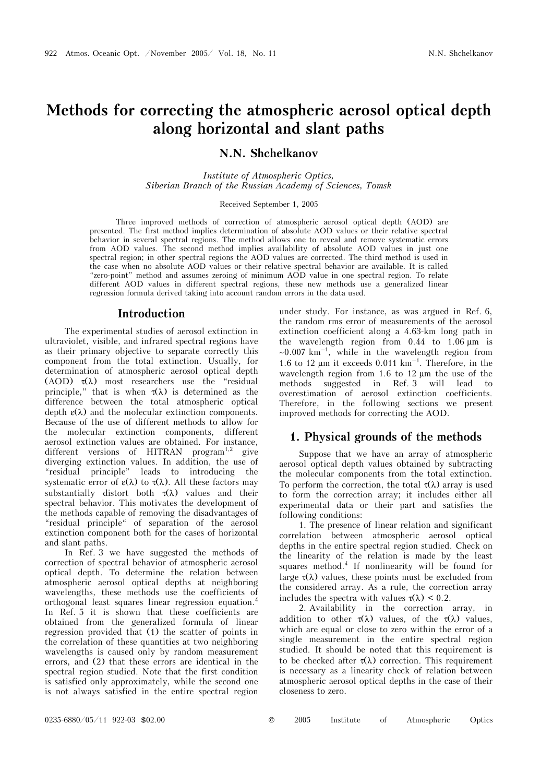# **Methods for correcting the atmospheric aerosol optical depth along horizontal and slant paths**

**N.N. Shchelkanov** 

*Institute of Atmospheric Optics, Siberian Branch of the Russian Academy of Sciences, Tomsk* 

## Received September 1, 2005

Three improved methods of correction of atmospheric aerosol optical depth (AOD) are presented. The first method implies determination of absolute AOD values or their relative spectral behavior in several spectral regions. The method allows one to reveal and remove systematic errors from AOD values. The second method implies availability of absolute AOD values in just one spectral region; in other spectral regions the AOD values are corrected. The third method is used in the case when no absolute AOD values or their relative spectral behavior are available. It is called "zero-point" method and assumes zeroing of minimum AOD value in one spectral region. To relate different AOD values in different spectral regions, these new methods use a generalized linear regression formula derived taking into account random errors in the data used.

### **Introduction**

The experimental studies of aerosol extinction in ultraviolet, visible, and infrared spectral regions have as their primary objective to separate correctly this component from the total extinction. Usually, for determination of atmospheric aerosol optical depth (AOD)  $\tau(\lambda)$  most researchers use the "residual principle," that is when  $\tau(\lambda)$  is determined as the difference between the total atmospheric optical depth  $\varepsilon(\lambda)$  and the molecular extinction components. Because of the use of different methods to allow for the molecular extinction components, different aerosol extinction values are obtained. For instance, different versions of HITRAN program<sup>1,2</sup> give diverging extinction values. In addition, the use of "residual principle" leads to introducing the systematic error of  $\varepsilon(\lambda)$  to  $\tau(\lambda)$ . All these factors may substantially distort both  $\tau(\lambda)$  values and their spectral behavior. This motivates the development of the methods capable of removing the disadvantages of "residual principle" of separation of the aerosol extinction component both for the cases of horizontal and slant paths.

In Ref. 3 we have suggested the methods of correction of spectral behavior of atmospheric aerosol optical depth. To determine the relation between atmospheric aerosol optical depths at neighboring wavelengths, these methods use the coefficients of orthogonal least squares linear regression equation.4 In Ref. 5 it is shown that these coefficients are obtained from the generalized formula of linear regression provided that (1) the scatter of points in the correlation of these quantities at two neighboring wavelengths is caused only by random measurement errors, and (2) that these errors are identical in the spectral region studied. Note that the first condition is satisfied only approximately, while the second one is not always satisfied in the entire spectral region

under study. For instance, as was argued in Ref. 6, the random rms error of measurements of the aerosol extinction coefficient along a 4.63-km long path in the wavelength region from 0.44 to 1.06 μm is  $~\sim 0.007~{\rm km}^{-1}$ , while in the wavelength region from 1.6 to 12  $\mu$ m it exceeds 0.011  $km^{-1}$ . Therefore, in the wavelength region from 1.6 to 12 μm the use of the methods suggested in Ref. 3 will lead to overestimation of aerosol extinction coefficients. Therefore, in the following sections we present improved methods for correcting the AOD.

## **1. Physical grounds of the methods**

Suppose that we have an array of atmospheric aerosol optical depth values obtained by subtracting the molecular components from the total extinction. To perform the correction, the total  $\tau(\lambda)$  array is used to form the correction array; it includes either all experimental data or their part and satisfies the following conditions:

1. The presence of linear relation and significant correlation between atmospheric aerosol optical depths in the entire spectral region studied. Check on the linearity of the relation is made by the least squares method.<sup>4</sup> If nonlinearity will be found for large  $\tau(\lambda)$  values, these points must be excluded from the considered array. As a rule, the correction array includes the spectra with values  $\tau(\lambda) < 0.2$ .

2. Availability in the correction array, in addition to other  $\tau(\lambda)$  values, of the  $\tau(\lambda)$  values. which are equal or close to zero within the error of a single measurement in the entire spectral region studied. It should be noted that this requirement is to be checked after  $\tau(\lambda)$  correction. This requirement is necessary as a linearity check of relation between atmospheric aerosol optical depths in the case of their closeness to zero.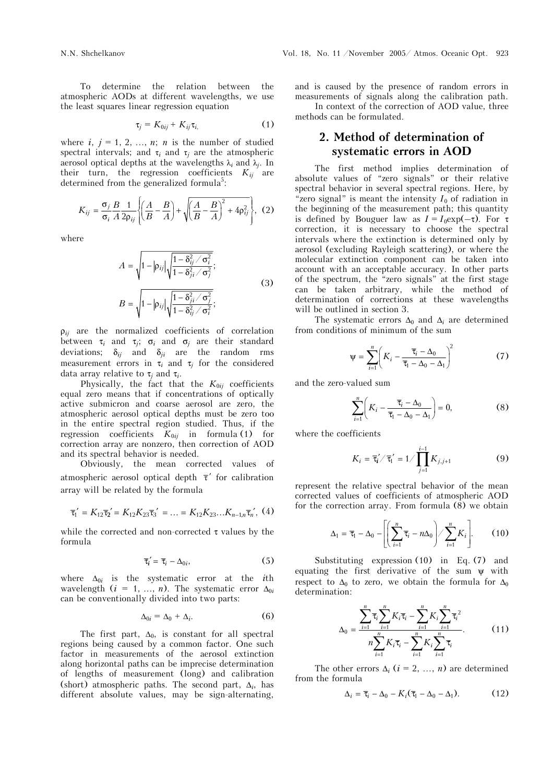To determine the relation between the atmospheric AODs at different wavelengths, we use the least squares linear regression equation

$$
\tau_j = K_{0ij} + K_{ij}\tau_{i,}
$$
 (1)

where  $i, j = 1, 2, ..., n$ ; *n* is the number of studied spectral intervals; and  $\tau_i$  and  $\tau_j$  are the atmospheric aerosol optical depths at the wavelengths  $\lambda_i$  and  $\lambda_j$ . In their turn, the regression coefficients  $K_{ij}$  are determined from the generalized formula<sup>5</sup>:

$$
K_{ij} = \frac{\sigma_j}{\sigma_i} \frac{B}{A} \frac{1}{2\rho_{ij}} \left\{ \left( \frac{A}{B} - \frac{B}{A} \right) + \sqrt{\left( \frac{A}{B} - \frac{B}{A} \right)^2 + 4\rho_{ij}^2} \right\}, (2)
$$

where

$$
A = \sqrt{1 - |\rho_{ij}| \sqrt{\frac{1 - \delta_{ij}^2 / \sigma_i^2}{1 - \delta_{ji}^2 / \sigma_j^2}}};
$$
  

$$
B = \sqrt{1 - |\rho_{ij}| \sqrt{\frac{1 - \delta_{ji}^2 / \sigma_j^2}{1 - \delta_{ij}^2 / \sigma_i^2}}};
$$

$$
(3)
$$

 $\rho_{ii}$  are the normalized coefficients of correlation between  $\tau_i$  and  $\tau_j$ ;  $\sigma_i$  and  $\sigma_j$  are their standard deviations;  $\delta_{ij}$  and  $\delta_{ji}$  are the random rms measurement errors in  $\tau_i$  and  $\tau_j$  for the considered data array relative to τ*j* and τ*i*.

Physically, the fact that the  $K_{0ij}$  coefficients equal zero means that if concentrations of optically active submicron and coarse aerosol are zero, the atmospheric aerosol optical depths must be zero too in the entire spectral region studied. Thus, if the regression coefficients  $K_{0ij}$  in formula (1) for correction array are nonzero, then correction of AOD and its spectral behavior is needed.

Obviously, the mean corrected values of atmospheric aerosol optical depth  $\bar{\tau}'$  for calibration array will be related by the formula

$$
\overline{\tau}_1' = K_{12}\overline{\tau}_2' = K_{12}K_{23}\overline{\tau}_3' = \dots = K_{12}K_{23}\dots K_{n-1,n}\overline{\tau}_n', (4)
$$

while the corrected and non-corrected  $\tau$  values by the formula

$$
\overline{\tau}_i' = \overline{\tau}_i - \Delta_{0i},\tag{5}
$$

where ∆<sup>0</sup>*i* is the systematic error at the *i*th wavelength  $(i = 1, ..., n)$ . The systematic error  $\Delta_{0i}$ can be conventionally divided into two parts:

$$
\Delta_{0i} = \Delta_0 + \Delta_i. \tag{6}
$$

The first part,  $\Delta_0$ , is constant for all spectral regions being caused by a common factor. One such factor in measurements of the aerosol extinction along horizontal paths can be imprecise determination of lengths of measurement (long) and calibration (short) atmospheric paths. The second part,  $\Delta_i$ , has different absolute values, may be sign-alternating,

and is caused by the presence of random errors in measurements of signals along the calibration path.

 In context of the correction of AOD value, three methods can be formulated.

## **2. Method of determination of systematic errors in AOD**

The first method implies determination of absolute values of "zero signals" or their relative spectral behavior in several spectral regions. Here, by "zero signal" is meant the intensity  $I_0$  of radiation in the beginning of the measurement path; this quantity is defined by Bouguer law as  $I = I_0 \exp(-\tau)$ . For  $\tau$ correction, it is necessary to choose the spectral intervals where the extinction is determined only by aerosol (excluding Rayleigh scattering), or where the molecular extinction component can be taken into account with an acceptable accuracy. In other parts of the spectrum, the "zero signals" at the first stage can be taken arbitrary, while the method of determination of corrections at these wavelengths will be outlined in section 3.

The systematic errors  $\Delta_0$  and  $\Delta_i$  are determined from conditions of minimum of the sum

$$
\Psi = \sum_{i=1}^{n} \left( K_i - \frac{\overline{\tau}_i - \Delta_0}{\overline{\tau}_i - \Delta_0 - \Delta_1} \right)^2 \tag{7}
$$

and the zero-valued sum

$$
\sum_{i=1}^{n} \left( K_i - \frac{\overline{\tau}_i - \Delta_0}{\overline{\tau}_1 - \Delta_0 - \Delta_1} \right) = 0, \tag{8}
$$

where the coefficients

$$
K_i = \overline{\tau}_i'/\overline{\tau}_i' = 1/\prod_{j=1}^{i-1} K_{j,j+1}
$$
 (9)

represent the relative spectral behavior of the mean corrected values of coefficients of atmospheric AOD for the correction array. From formula (8) we obtain

$$
\Delta_1 = \overline{\tau}_1 - \Delta_0 - \left[ \left( \sum_{i=1}^n \overline{\tau}_i - n \Delta_0 \right) / \sum_{i=1}^n K_i \right].
$$
 (10)

Substituting expression (10) in Eq. (7) and equating the first derivative of the sum  $\psi$  with respect to  $\Delta_0$  to zero, we obtain the formula for  $\Delta_0$ determination:

$$
\Delta_0 = \frac{\sum_{i=1}^n \overline{\tau}_i \sum_{i=1}^n K_i \overline{\tau}_i - \sum_{i=1}^n K_i \sum_{i=1}^n \overline{\tau}_i^2}{n \sum_{i=1}^n K_i \overline{\tau}_i - \sum_{i=1}^n K_i \sum_{i=1}^n \overline{\tau}_i}.
$$
 (11)

The other errors  $\Delta_i$  ( $i = 2, ..., n$ ) are determined from the formula

$$
\Delta_i = \overline{\tau}_i - \Delta_0 - K_i(\overline{\tau}_1 - \Delta_0 - \Delta_1). \tag{12}
$$